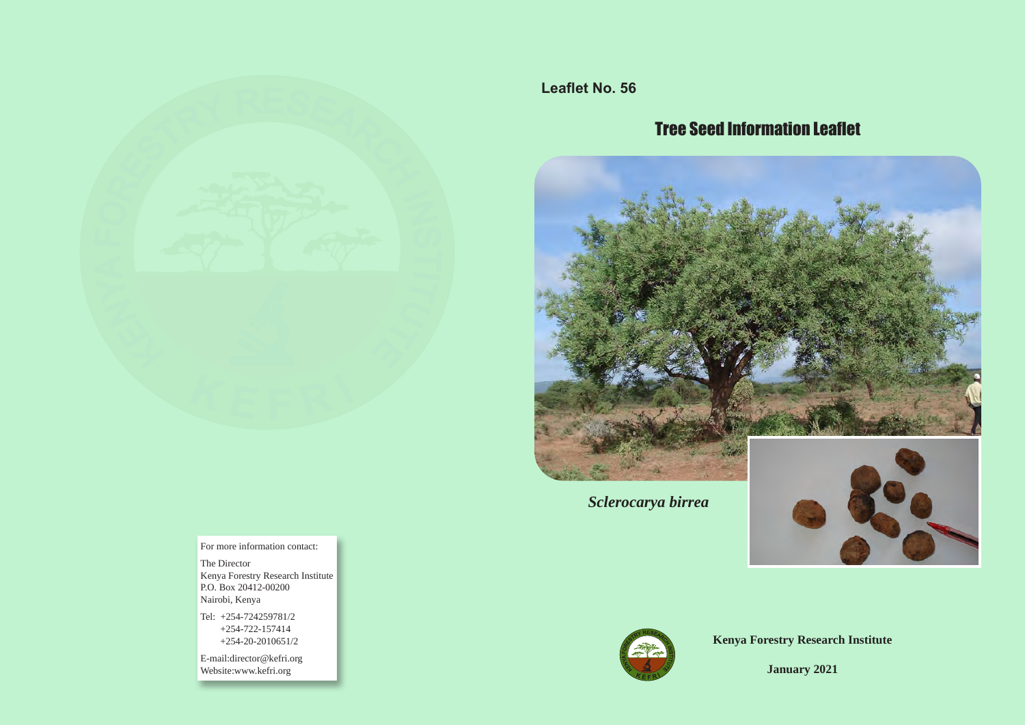

**Leaflet No. 56**

# Tree Seed Information Leaflet



*Sclerocarya birrea* 





**Kenya Forestry Research Institute**

**January 2021**

For more information contact:

The Director Kenya Forestry Research Institute P.O. Box 20412-00200 Nairobi, Kenya

Tel: +254-724259781/2 +254-722-157414 +254-20-2010651/2

E-mail:director@kefri.org Website:www.kefri.org